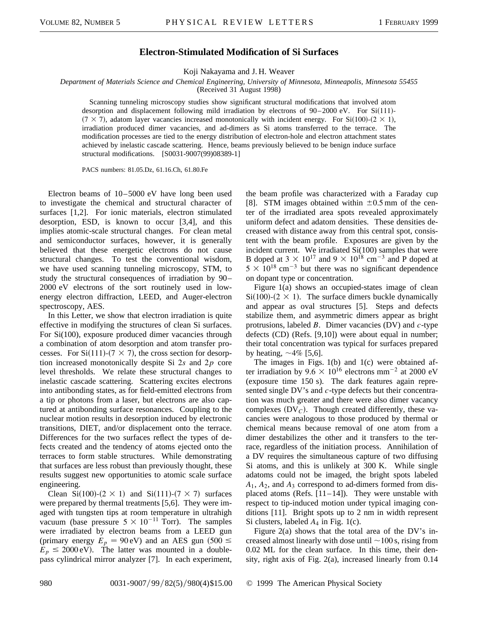## **Electron-Stimulated Modification of Si Surfaces**

Koji Nakayama and J. H. Weaver

*Department of Materials Science and Chemical Engineering, University of Minnesota, Minneapolis, Minnesota 55455*

(Received 31 August 1998)

Scanning tunneling microscopy studies show significant structural modifications that involved atom desorption and displacement following mild irradiation by electrons of  $90-2000$  eV. For Si $(111)$ - $(7 \times 7)$ , adatom layer vacancies increased monotonically with incident energy. For Si $(100)-(2 \times 1)$ , irradiation produced dimer vacancies, and ad-dimers as Si atoms transferred to the terrace. The modification processes are tied to the energy distribution of electron-hole and electron attachment states achieved by inelastic cascade scattering. Hence, beams previously believed to be benign induce surface structural modifications. [S0031-9007(99)08389-1]

PACS numbers: 81.05.Dz, 61.16.Ch, 61.80.Fe

Electron beams of 10–5000 eV have long been used to investigate the chemical and structural character of surfaces [1,2]. For ionic materials, electron stimulated desorption, ESD, is known to occur [3,4], and this implies atomic-scale structural changes. For clean metal and semiconductor surfaces, however, it is generally believed that these energetic electrons do not cause structural changes. To test the conventional wisdom, we have used scanning tunneling microscopy, STM, to study the structural consequences of irradiation by 90– 2000 eV electrons of the sort routinely used in lowenergy electron diffraction, LEED, and Auger-electron spectroscopy, AES.

In this Letter, we show that electron irradiation is quite effective in modifying the structures of clean Si surfaces. For Si(100), exposure produced dimer vacancies through a combination of atom desorption and atom transfer processes. For Si(111)-(7  $\times$  7), the cross section for desorption increased monotonically despite Si 2*s* and 2*p* core level thresholds. We relate these structural changes to inelastic cascade scattering. Scattering excites electrons into antibonding states, as for field-emitted electrons from a tip or photons from a laser, but electrons are also captured at antibonding surface resonances. Coupling to the nuclear motion results in desorption induced by electronic transitions, DIET, and/or displacement onto the terrace. Differences for the two surfaces reflect the types of defects created and the tendency of atoms ejected onto the terraces to form stable structures. While demonstrating that surfaces are less robust than previously thought, these results suggest new opportunities to atomic scale surface engineering.

Clean Si $(100)-(2 \times 1)$  and Si $(111)-(7 \times 7)$  surfaces were prepared by thermal treatments [5,6]. They were imaged with tungsten tips at room temperature in ultrahigh vacuum (base pressure  $5 \times 10^{-11}$  Torr). The samples were irradiated by electron beams from a LEED gun (primary energy  $E_p = 90 \text{ eV}$ ) and an AES gun (500  $\leq$  $E_p \le 2000 \text{ eV}$ . The latter was mounted in a doublepass cylindrical mirror analyzer [7]. In each experiment,

the beam profile was characterized with a Faraday cup [8]. STM images obtained within  $\pm 0.5$  mm of the center of the irradiated area spots revealed approximately uniform defect and adatom densities. These densities decreased with distance away from this central spot, consistent with the beam profile. Exposures are given by the incident current. We irradiated Si(100) samples that were B doped at  $3 \times 10^{17}$  and  $9 \times 10^{18}$  cm<sup>-3</sup> and P doped at  $5 \times 10^{18}$  cm<sup>-3</sup> but there was no significant dependence on dopant type or concentration.

Figure 1(a) shows an occupied-states image of clean  $Si(100)$ - $(2 \times 1)$ . The surface dimers buckle dynamically and appear as oval structures [5]. Steps and defects stabilize them, and asymmetric dimers appear as bright protrusions, labeled *B*. Dimer vacancies (DV) and *c*-type defects (CD) (Refs. [9,10]) were about equal in number; their total concentration was typical for surfaces prepared by heating,  $\sim$  4% [5,6].

The images in Figs. 1(b) and 1(c) were obtained after irradiation by 9.6  $\times$  10<sup>16</sup> electrons mm<sup>-2</sup> at 2000 eV (exposure time 150 s). The dark features again represented single DV's and *c*-type defects but their concentration was much greater and there were also dimer vacancy complexes  $(DV_C)$ . Though created differently, these vacancies were analogous to those produced by thermal or chemical means because removal of one atom from a dimer destabilizes the other and it transfers to the terrace, regardless of the initiation process. Annihilation of a DV requires the simultaneous capture of two diffusing Si atoms, and this is unlikely at 300 K. While single adatoms could not be imaged, the bright spots labeled *A*1, *A*2, and *A*<sup>3</sup> correspond to ad-dimers formed from displaced atoms (Refs.  $[11-14]$ ). They were unstable with respect to tip-induced motion under typical imaging conditions [11]. Bright spots up to 2 nm in width represent Si clusters, labeled  $A_4$  in Fig. 1(c).

Figure  $2(a)$  shows that the total area of the DV's increased almost linearly with dose until  $\sim$ 100 s, rising from 0.02 ML for the clean surface. In this time, their density, right axis of Fig. 2(a), increased linearly from 0.14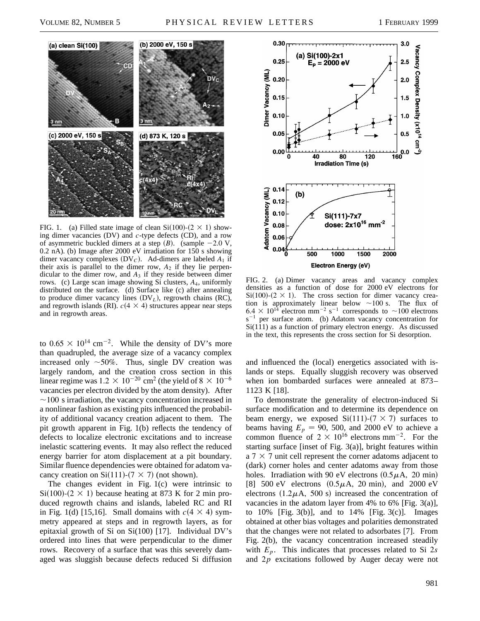

FIG. 1. (a) Filled state image of clean Si $(100)-(2 \times 1)$  showing dimer vacancies (DV) and *c*-type defects (CD), and a row of asymmetric buckled dimers at a step  $(B)$ . (sample  $-2.0$  V, 0.2 nA). (b) Image after 2000 eV irradiation for 150 s showing dimer vacancy complexes (DV<sub>C</sub>). Ad-dimers are labeled  $A_1$  if their axis is parallel to the dimer row,  $A_2$  if they lie perpendicular to the dimer row, and  $A_3$  if they reside between dimer rows. (c) Large scan image showing Si clusters, *A*4, uniformly distributed on the surface. (d) Surface like (c) after annealing to produce dimer vacancy lines (DV<sub>L</sub>), regrowth chains (RC), and regrowth islands (RI).  $c(4 \times 4)$  structures appear near steps and in regrowth areas.

to  $0.65 \times 10^{14}$  cm<sup>-2</sup>. While the density of DV's more than quadrupled, the average size of a vacancy complex increased only  $\sim$  50%. Thus, single DV creation was largely random, and the creation cross section in this linear regime was  $1.2 \times 10^{-20}$  cm<sup>2</sup> (the yield of  $8 \times 10^{-6}$ vacancies per electron divided by the atom density). After  $\sim$ 100 s irradiation, the vacancy concentration increased in a nonlinear fashion as existing pits influenced the probability of additional vacancy creation adjacent to them. The pit growth apparent in Fig. 1(b) reflects the tendency of defects to localize electronic excitations and to increase inelastic scattering events. It may also reflect the reduced energy barrier for atom displacement at a pit boundary. Similar fluence dependencies were obtained for adatom vacancy creation on Si(111)-(7  $\times$  7) (not shown).

The changes evident in Fig. 1(c) were intrinsic to  $Si(100)-(2 \times 1)$  because heating at 873 K for 2 min produced regrowth chains and islands, labeled RC and RI in Fig. 1(d) [15,16]. Small domains with  $c(4 \times 4)$  symmetry appeared at steps and in regrowth layers, as for epitaxial growth of Si on Si(100) [17]. Individual DV's ordered into lines that were perpendicular to the dimer rows. Recovery of a surface that was this severely damaged was sluggish because defects reduced Si diffusion



FIG. 2. (a) Dimer vacancy areas and vacancy complex densities as a function of dose for 2000 eV electrons for  $Si(100)-(2 \times 1)$ . The cross section for dimer vacancy creation is approximately linear below  $\sim$ 100 s. The flux of  $6.4 \times 10^{14}$  electron mm<sup>-2</sup> s<sup>-1</sup> corresponds to ~100 electrons  $s^{-1}$  per surface atom. (b) Adatom vacancy concentration for  $Si(1\bar{1}1)$  as a function of primary electron energy. As discussed in the text, this represents the cross section for Si desorption.

and influenced the (local) energetics associated with islands or steps. Equally sluggish recovery was observed when ion bombarded surfaces were annealed at 873– 1123 K [18].

To demonstrate the generality of electron-induced Si surface modification and to determine its dependence on beam energy, we exposed  $Si(111)-(7 \times 7)$  surfaces to beams having  $E_p = 90$ , 500, and 2000 eV to achieve a common fluence of  $2 \times 10^{16}$  electrons mm<sup>-2</sup>. For the starting surface [inset of Fig. 3(a)], bright features within  $a \, 7 \times 7$  unit cell represent the corner adatoms adjacent to (dark) corner holes and center adatoms away from those holes. Irradiation with 90 eV electrons  $(0.5\mu A, 20 \text{ min})$ [8] 500 eV electrons  $(0.5\mu A, 20 \text{ min})$ , and 2000 eV electrons  $(1.2\mu A, 500 s)$  increased the concentration of vacancies in the adatom layer from 4% to 6% [Fig. 3(a)], to  $10\%$  [Fig. 3(b)], and to  $14\%$  [Fig. 3(c)]. Images obtained at other bias voltages and polarities demonstrated that the changes were not related to adsorbates [7]. From Fig. 2(b), the vacancy concentration increased steadily with *Ep*. This indicates that processes related to Si 2*s* and 2*p* excitations followed by Auger decay were not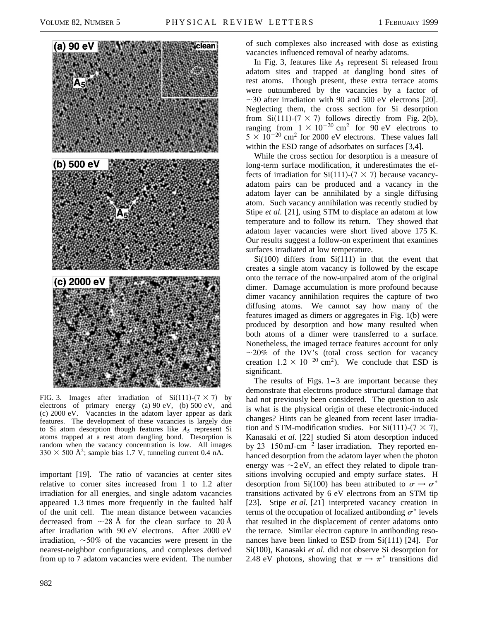

FIG. 3. Images after irradiation of Si(111)- $(7 \times 7)$  by electrons of primary energy (a) 90 eV, (b) 500 eV, and (c) 2000 eV. Vacancies in the adatom layer appear as dark features. The development of these vacancies is largely due to Si atom desorption though features like  $A_5$  represent Si atoms trapped at a rest atom dangling bond. Desorption is random when the vacancy concentration is low. All images  $330 \times 500$  Å<sup>2</sup>; sample bias 1.7 V, tunneling current 0.4 nA.

important [19]. The ratio of vacancies at center sites relative to corner sites increased from 1 to 1.2 after irradiation for all energies, and single adatom vacancies appeared 1.3 times more frequently in the faulted half of the unit cell. The mean distance between vacancies decreased from  $\sim$ 28 Å for the clean surface to 20 Å after irradiation with 90 eV electrons. After 2000 eV irradiation,  $\sim$  50% of the vacancies were present in the nearest-neighbor configurations, and complexes derived from up to 7 adatom vacancies were evident. The number of such complexes also increased with dose as existing vacancies influenced removal of nearby adatoms.

In Fig. 3, features like  $A_5$  represent Si released from adatom sites and trapped at dangling bond sites of rest atoms. Though present, these extra terrace atoms were outnumbered by the vacancies by a factor of  $\sim$ 30 after irradiation with 90 and 500 eV electrons [20]. Neglecting them, the cross section for Si desorption from Si(111)- $(7 \times 7)$  follows directly from Fig. 2(b), ranging from  $1 \times 10^{-20}$  cm<sup>2</sup> for 90 eV electrons to  $5 \times 10^{-20}$  cm<sup>2</sup> for 2000 eV electrons. These values fall within the ESD range of adsorbates on surfaces [3,4].

While the cross section for desorption is a measure of long-term surface modification, it underestimates the effects of irradiation for Si(111)-(7  $\times$  7) because vacancyadatom pairs can be produced and a vacancy in the adatom layer can be annihilated by a single diffusing atom. Such vacancy annihilation was recently studied by Stipe *et al.* [21], using STM to displace an adatom at low temperature and to follow its return. They showed that adatom layer vacancies were short lived above 175 K. Our results suggest a follow-on experiment that examines surfaces irradiated at low temperature.

 $Si(100)$  differs from  $Si(111)$  in that the event that creates a single atom vacancy is followed by the escape onto the terrace of the now-unpaired atom of the original dimer. Damage accumulation is more profound because dimer vacancy annihilation requires the capture of two diffusing atoms. We cannot say how many of the features imaged as dimers or aggregates in Fig. 1(b) were produced by desorption and how many resulted when both atoms of a dimer were transferred to a surface. Nonetheless, the imaged terrace features account for only  $\sim$ 20% of the DV's (total cross section for vacancy creation  $1.2 \times 10^{-20}$  cm<sup>2</sup>). We conclude that ESD is significant.

The results of Figs.  $1-3$  are important because they demonstrate that electrons produce structural damage that had not previously been considered. The question to ask is what is the physical origin of these electronic-induced changes? Hints can be gleaned from recent laser irradiation and STM-modification studies. For Si(111)-(7  $\times$  7), Kanasaki *et al.* [22] studied Si atom desorption induced by 23–150 mJ-cm<sup>-2</sup> laser irradiation. They reported enhanced desorption from the adatom layer when the photon energy was  $\sim$ 2 eV, an effect they related to dipole transitions involving occupied and empty surface states. H desorption from Si(100) has been attributed to  $\sigma \rightarrow \sigma^*$ transitions activated by 6 eV electrons from an STM tip [23]. Stipe *et al.* [21] interpreted vacancy creation in terms of the occupation of localized antibonding  $\sigma^*$  levels that resulted in the displacement of center adatoms onto the terrace. Similar electron capture in antibonding resonances have been linked to ESD from Si(111) [24]. For Si(100), Kanasaki *et al.* did not observe Si desorption for 2.48 eV photons, showing that  $\pi \rightarrow \pi^*$  transitions did